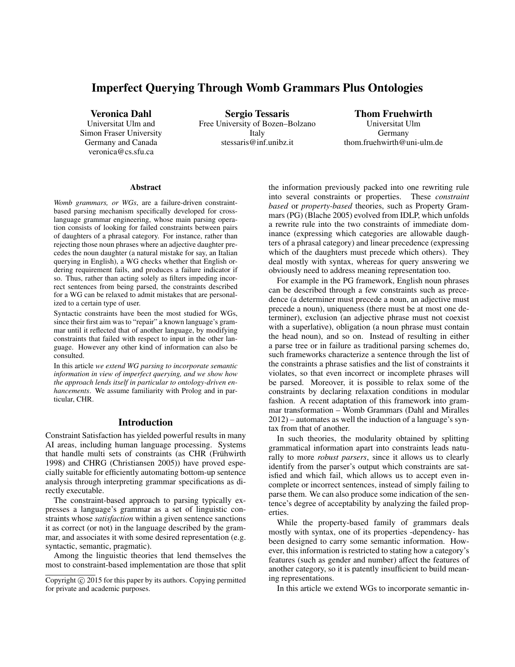# Imperfect Querying Through Womb Grammars Plus Ontologies

Veronica Dahl

Universitat Ulm and Simon Fraser University Germany and Canada veronica@cs.sfu.ca

Sergio Tessaris Free University of Bozen–Bolzano Italy stessaris@inf.unibz.it

Thom Fruehwirth Universitat Ulm Germany thom.fruehwirth@uni-ulm.de

#### **Abstract**

*Womb grammars, or WGs*, are a failure-driven constraintbased parsing mechanism specifically developed for crosslanguage grammar engineering, whose main parsing operation consists of looking for failed constraints between pairs of daughters of a phrasal category. For instance, rather than rejecting those noun phrases where an adjective daughter precedes the noun daughter (a natural mistake for say, an Italian querying in English), a WG checks whether that English ordering requirement fails, and produces a failure indicator if so. Thus, rather than acting solely as filters impeding incorrect sentences from being parsed, the constraints described for a WG can be relaxed to admit mistakes that are personalized to a certain type of user.

Syntactic constraints have been the most studied for WGs, since their first aim was to "repair" a known language's grammar until it reflected that of another language, by modifying constraints that failed with respect to input in the other language. However any other kind of information can also be consulted.

In this article *we extend WG parsing to incorporate semantic information in view of imperfect querying, and we show how the approach lends itself in particular to ontology-driven enhancements*. We assume familiarity with Prolog and in particular, CHR.

## Introduction

Constraint Satisfaction has yielded powerful results in many AI areas, including human language processing. Systems that handle multi sets of constraints (as CHR (Frühwirth 1998) and CHRG (Christiansen 2005)) have proved especially suitable for efficiently automating bottom-up sentence analysis through interpreting grammar specifications as directly executable.

The constraint-based approach to parsing typically expresses a language's grammar as a set of linguistic constraints whose *satisfaction* within a given sentence sanctions it as correct (or not) in the language described by the grammar, and associates it with some desired representation (e.g. syntactic, semantic, pragmatic).

Among the linguistic theories that lend themselves the most to constraint-based implementation are those that split the information previously packed into one rewriting rule into several constraints or properties. These *constraint based* or *property-based* theories, such as Property Grammars (PG) (Blache 2005) evolved from IDLP, which unfolds a rewrite rule into the two constraints of immediate dominance (expressing which categories are allowable daughters of a phrasal category) and linear precedence (expressing which of the daughters must precede which others). They deal mostly with syntax, whereas for query answering we obviously need to address meaning representation too.

For example in the PG framework, English noun phrases can be described through a few constraints such as precedence (a determiner must precede a noun, an adjective must precede a noun), uniqueness (there must be at most one determiner), exclusion (an adjective phrase must not coexist with a superlative), obligation (a noun phrase must contain the head noun), and so on. Instead of resulting in either a parse tree or in failure as traditional parsing schemes do, such frameworks characterize a sentence through the list of the constraints a phrase satisfies and the list of constraints it violates, so that even incorrect or incomplete phrases will be parsed. Moreover, it is possible to relax some of the constraints by declaring relaxation conditions in modular fashion. A recent adaptation of this framework into grammar transformation – Womb Grammars (Dahl and Miralles 2012) – automates as well the induction of a language's syntax from that of another.

In such theories, the modularity obtained by splitting grammatical information apart into constraints leads naturally to more *robust parsers*, since it allows us to clearly identify from the parser's output which constraints are satisfied and which fail, which allows us to accept even incomplete or incorrect sentences, instead of simply failing to parse them. We can also produce some indication of the sentence's degree of acceptability by analyzing the failed properties.

While the property-based family of grammars deals mostly with syntax, one of its properties -dependency- has been designed to carry some semantic information. However, this information is restricted to stating how a category's features (such as gender and number) affect the features of another category, so it is patently insufficient to build meaning representations.

In this article we extend WGs to incorporate semantic in-

Copyright  $\odot$  2015 for this paper by its authors. Copying permitted for private and academic purposes.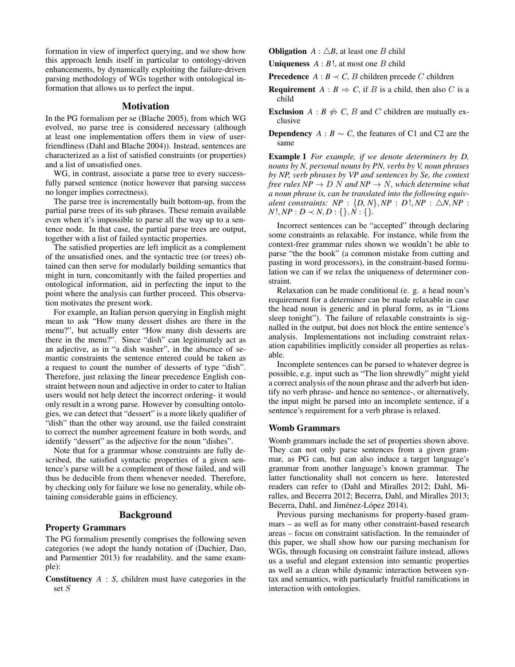formation in view of imperfect querying, and we show how this approach lends itself in particular to ontology-driven enhancements, by dynamically exploiting the failure-driven parsing methodology of WGs together with ontological information that allows us to perfect the input.

## Motivation

In the PG formalism per se (Blache 2005), from which WG evolved, no parse tree is considered necessary (although at least one implementation offers them in view of userfriendliness (Dahl and Blache 2004)). Instead, sentences are characterized as a list of satisfied constraints (or properties) and a list of unsatisfied ones.

WG, in contrast, associate a parse tree to every successfully parsed sentence (notice however that parsing success no longer implies correctness).

The parse tree is incrementally built bottom-up, from the partial parse trees of its sub phrases. These remain available even when it's impossible to parse all the way up to a sentence node. In that case, the partial parse trees are output, together with a list of failed syntactic properties.

The satisfied properties are left implicit as a complement of the unsatisfied ones, and the syntactic tree (or trees) obtained can then serve for modularly building semantics that might in turn, concomitantly with the failed properties and ontological information, aid in perfecting the input to the point where the analysis can further proceed. This observation motivates the present work.

For example, an Italian person querying in English might mean to ask "How many dessert dishes are there in the menu?", but actually enter "How many dish desserts are there in the menu?". Since "dish" can legitimately act as an adjective, as in "a dish washer", in the absence of semantic constraints the sentence entered could be taken as a request to count the number of desserts of type "dish". Therefore, just relaxing the linear precedence English constraint between noun and adjective in order to cater to Italian users would not help detect the incorrect ordering- it would only result in a wrong parse. However by consulting ontologies, we can detect that "dessert" is a more likely qualifier of "dish" than the other way around, use the failed constraint to correct the number agreement feature in both words, and identify "dessert" as the adjective for the noun "dishes".

Note that for a grammar whose constraints are fully described, the satisfied syntactic properties of a given sentence's parse will be a complement of those failed, and will thus be deducible from them whenever needed. Therefore, by checking only for failure we lose no generality, while obtaining considerable gains in efficiency.

## Background

# Property Grammars

The PG formalism presently comprises the following seven categories (we adopt the handy notation of (Duchier, Dao, and Parmentier 2013) for readability, and the same example):

Constituency *A* : *S*, children must have categories in the set S

**Obligation**  $A : \triangle B$ , at least one B child

**Uniqueness**  $A : B!$ , at most one  $B$  child

- **Precedence**  $A : B \prec C$ , *B* children precede *C* children
- **Requirement**  $A : B \Rightarrow C$ , if B is a child, then also C is a child
- **Exclusion**  $A : B \nleftrightarrow C$ , *B* and *C* children are mutually exclusive
- **Dependency** *A* :  $B \sim C$ , the features of C1 and C2 are the same

Example 1 *For example, if we denote determiners by D, nouns by N, personal nouns by PN, verbs by V, noun phrases by NP, verb phrases by VP and sentences by Se, the context free rules*  $\overline{NP} \to \overline{DN}$  *and*  $\overline{NP} \to \overline{N}$ *, which determine what a noun phrase is, can be translated into the following equivalent constraints:*  $NP : \{D, N\}, NP : D!, NP : \triangle N, NP :$  $N!, NP : D \prec N, D : \{\}, N : \{\}.$ 

Incorrect sentences can be "accepted" through declaring some constraints as relaxable. For instance, while from the context-free grammar rules shown we wouldn't be able to parse "the the book" (a common mistake from cutting and pasting in word processors), in the constraint-based formulation we can if we relax the uniqueness of determiner constraint.

Relaxation can be made conditional (e. g. a head noun's requirement for a determiner can be made relaxable in case the head noun is generic and in plural form, as in "Lions sleep tonight"). The failure of relaxable constraints is signalled in the output, but does not block the entire sentence's analysis. Implementations not including constraint relaxation capabilities implicitly consider all properties as relaxable.

Incomplete sentences can be parsed to whatever degree is possible, e.g. input such as "The lion shrewdly" might yield a correct analysis of the noun phrase and the adverb but identify no verb phrase- and hence no sentence-, or alternatively, the input might be parsed into an incomplete sentence, if a sentence's requirement for a verb phrase is relaxed.

#### Womb Grammars

Womb grammars include the set of properties shown above. They can not only parse sentences from a given grammar, as PG can, but can also induce a target language's grammar from another language's known grammar. The latter functionality shall not concern us here. Interested readers can refer to (Dahl and Miralles 2012; Dahl, Miralles, and Becerra 2012; Becerra, Dahl, and Miralles 2013; Becerra, Dahl, and Jiménez-López 2014).

Previous parsing mechanisms for property-based grammars – as well as for many other constraint-based research areas – focus on constraint satisfaction. In the remainder of this paper, we shall show how our parsing mechanism for WGs, through focusing on constraint failure instead, allows us a useful and elegant extension into semantic properties as well as a clean while dynamic interaction between syntax and semantics, with particularly fruitful ramifications in interaction with ontologies.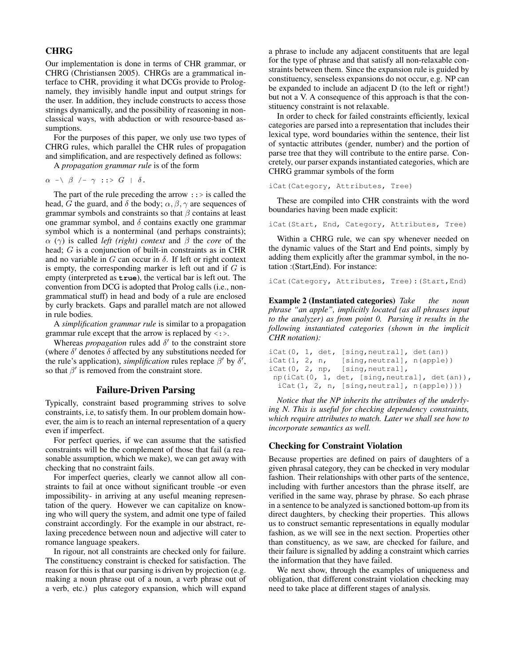## **CHRG**

Our implementation is done in terms of CHR grammar, or CHRG (Christiansen 2005). CHRGs are a grammatical interface to CHR, providing it what DCGs provide to Prolognamely, they invisibly handle input and output strings for the user. In addition, they include constructs to access those strings dynamically, and the possibility of reasoning in nonclassical ways, with abduction or with resource-based assumptions.

For the purposes of this paper, we only use two types of CHRG rules, which parallel the CHR rules of propagation and simplification, and are respectively defined as follows:

A *propagation grammar rule* is of the form

```
\alpha \rightarrow \beta /- \gamma ::> G | \delta.
```
The part of the rule preceding the arrow  $::$  is called the head, G the guard, and  $\delta$  the body;  $\alpha, \beta, \gamma$  are sequences of grammar symbols and constraints so that  $\beta$  contains at least one grammar symbol, and  $\delta$  contains exactly one grammar symbol which is a nonterminal (and perhaps constraints); α (γ) is called *left (right) context* and β the *core* of the head; G is a conjunction of built-in constraints as in CHR and no variable in  $G$  can occur in  $\delta$ . If left or right context is empty, the corresponding marker is left out and if  $G$  is empty (interpreted as **true**), the vertical bar is left out. The convention from DCG is adopted that Prolog calls (i.e., nongrammatical stuff) in head and body of a rule are enclosed by curly brackets. Gaps and parallel match are not allowed in rule bodies.

A *simplification grammar rule* is similar to a propagation grammar rule except that the arrow is replaced by  $\langle \cdot | \cdot \rangle$ .

Whereas *propagation* rules add  $\delta'$  to the constraint store (where  $\delta'$  denotes  $\delta$  affected by any substitutions needed for the rule's application), *simplification* rules replace  $\beta'$  by  $\delta'$ , so that  $\beta'$  is removed from the constraint store.

## Failure-Driven Parsing

Typically, constraint based programming strives to solve constraints, i.e, to satisfy them. In our problem domain however, the aim is to reach an internal representation of a query even if imperfect.

For perfect queries, if we can assume that the satisfied constraints will be the complement of those that fail (a reasonable assumption, which we make), we can get away with checking that no constraint fails.

For imperfect queries, clearly we cannot allow all constraints to fail at once without significant trouble -or even impossibility- in arriving at any useful meaning representation of the query. However we can capitalize on knowing who will query the system, and admit one type of failed constraint accordingly. For the example in our abstract, relaxing precedence between noun and adjective will cater to romance language speakers.

In rigour, not all constraints are checked only for failure. The constituency constraint is checked for satisfaction. The reason for this is that our parsing is driven by projection (e.g. making a noun phrase out of a noun, a verb phrase out of a verb, etc.) plus category expansion, which will expand

a phrase to include any adjacent constituents that are legal for the type of phrase and that satisfy all non-relaxable constraints between them. Since the expansion rule is guided by constituency, senseless expansions do not occur, e.g. NP can be expanded to include an adjacent D (to the left or right!) but not a V. A consequence of this approach is that the constituency constraint is not relaxable.

In order to check for failed constraints efficiently, lexical categories are parsed into a representation that includes their lexical type, word boundaries within the sentence, their list of syntactic attributes (gender, number) and the portion of parse tree that they will contribute to the entire parse. Concretely, our parser expands instantiated categories, which are CHRG grammar symbols of the form

iCat(Category, Attributes, Tree)

These are compiled into CHR constraints with the word boundaries having been made explicit:

iCat(Start, End, Category, Attributes, Tree)

Within a CHRG rule, we can spy whenever needed on the dynamic values of the Start and End points, simply by adding them explicitly after the grammar symbol, in the notation :(Start,End). For instance:

iCat(Category, Attributes, Tree):(Start,End)

Example 2 (Instantiated categories) *Take the noun phrase "an apple", implicitly located (as all phrases input to the analyzer) as from point 0. Parsing it results in the following instantiated categories (shown in the implicit CHR notation):*

```
iCat(0, 1, det, [sing, neutral], det(an))
                   [sing, neutral], n(apple))
iCat(1, 2, n, [sing,neutral],<br>iCat(0, 2, np, [sing,neutral],
 np(iCat(0, 1, det, [sing,neutral], det(an)),
  iCat(1, 2, n, [sing, neutral], n(aple))))
```
*Notice that the NP inherits the attributes of the underlying N. This is useful for checking dependency constraints, which require attributes to match. Later we shall see how to incorporate semantics as well.*

#### Checking for Constraint Violation

Because properties are defined on pairs of daughters of a given phrasal category, they can be checked in very modular fashion. Their relationships with other parts of the sentence, including with further ancestors than the phrase itself, are verified in the same way, phrase by phrase. So each phrase in a sentence to be analyzed is sanctioned bottom-up from its direct daughters, by checking their properties. This allows us to construct semantic representations in equally modular fashion, as we will see in the next section. Properties other than constituency, as we saw, are checked for failure, and their failure is signalled by adding a constraint which carries the information that they have failed.

We next show, through the examples of uniqueness and obligation, that different constraint violation checking may need to take place at different stages of analysis.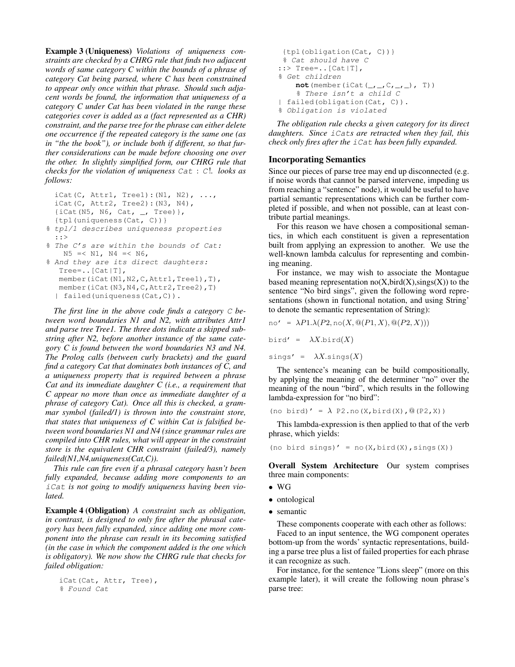Example 3 (Uniqueness) *Violations of uniqueness constraints are checked by a CHRG rule that finds two adjacent words of same category C within the bounds of a phrase of category Cat being parsed, where C has been constrained to appear only once within that phrase. Should such adjacent words be found, the information that uniqueness of a category C under Cat has been violated in the range these categories cover is added as a (fact represented as a CHR) constraint, and the parse tree for the phrase can either delete one occurrence if the repeated category is the same one (as in "the the book"), or include both if different, so that further considerations can be made before choosing one over the other. In slightly simplified form, our CHRG rule that checks for the violation of uniqueness* Cat : C !*. looks as follows:*

```
iCat(C, Attr1, Tree1): (N1, N2), ...,
iCat(C, Attr2, Tree2):(N3, N4),
{iCat(N5, N6, Cat, _, Tree)},
{tpl(uniqueness(Cat, C))}
```
- % tpl/1 describes uniqueness properties ::>
- % The C's are within the bounds of Cat:  $N5 = < N1$ ,  $N4 = < N6$ ,

```
% And they are its direct daughters:
  Tree=..[Cat|T],
  member(iCat(N1, N2, C, Attr1, Tree1), T),
  member(iCat(N3,N4,C,Attr2,Tree2),T)
  | failed(uniqueness(Cat,C)).
```
*The first line in the above code finds a category* C *between word boundaries N1 and N2, with attributes Attr1 and parse tree Tree1. The three dots indicate a skipped substring after N2, before another instance of the same category C is found between the word boundaries N3 and N4. The Prolog calls (between curly brackets) and the guard find a category Cat that dominates both instances of C, and a uniqueness property that is required between a phrase Cat and its immediate daughter C (i.e., a requirement that C appear no more than once as immediate daughter of a phrase of category Cat). Once all this is checked, a grammar symbol (failed/1) is thrown into the constraint store, that states that uniqueness of C within Cat is falsified between word boundaries N1 and N4 (since grammar rules are compiled into CHR rules, what will appear in the constraint store is the equivalent CHR constraint (failed/3), namely failed(N1,N4,uniqueness(Cat,C)).*

*This rule can fire even if a phrasal category hasn't been fully expanded, because adding more components to an* iCat *is not going to modify uniqueness having been violated.*

Example 4 (Obligation) *A constraint such as obligation, in contrast, is designed to only fire after the phrasal category has been fully expanded, since adding one more component into the phrase can result in its becoming satisfied (in the case in which the component added is the one which is obligatory). We now show the CHRG rule that checks for failed obligation:*

```
iCat(Cat, Attr, Tree),
% Found Cat
```

```
{tpl(obligation(Cat, C))}
 % Cat should have C
::> Tree=..[Cat|T],
% Get children
    not(member(iCat(_{-1},_{-1}C,_{-1}), T))
    % There isn't a child C
| failed(obligation(Cat, C)).
% Obligation is violated
```
*The obligation rule checks a given category for its direct daughters. Since* iCat*s are retracted when they fail, this check only fires after the* iCat *has been fully expanded.*

## Incorporating Semantics

Since our pieces of parse tree may end up disconnected (e.g. if noise words that cannot be parsed intervene, impeding us from reaching a "sentence" node), it would be useful to have partial semantic representations which can be further completed if possible, and when not possible, can at least contribute partial meanings.

For this reason we have chosen a compositional semantics, in which each constituent is given a representation built from applying an expression to another. We use the well-known lambda calculus for representing and combining meaning.

For instance, we may wish to associate the Montague based meaning representation  $no(X,bird(X),sing(X))$  to the sentence "No bird sings", given the following word representations (shown in functional notation, and using String' to denote the semantic representation of String):

$$
no' = \lambda P1.\lambda(P2, no(X, \mathbb{Q}(P1, X), \mathbb{Q}(P2, X)))
$$

$$
bird' = \lambda X.bird(X)
$$

sings' =  $\lambda X$ .sings(X)

The sentence's meaning can be build compositionally, by applying the meaning of the determiner "no" over the meaning of the noun "bird", which results in the following lambda-expression for "no bird":

(no bird)' =  $\lambda$  P2.no(X,bird(X),  $@$ (P2,X))

This lambda-expression is then applied to that of the verb phrase, which yields:

(no bird sings)' =  $no(X,bird(X),sing(X))$ 

Overall System Architecture Our system comprises three main components:

- WG
- ontological
- semantic

These components cooperate with each other as follows: Faced to an input sentence, the WG component operates bottom-up from the words' syntactic representations, building a parse tree plus a list of failed properties for each phrase it can recognize as such.

For instance, for the sentence "Lions sleep" (more on this example later), it will create the following noun phrase's parse tree: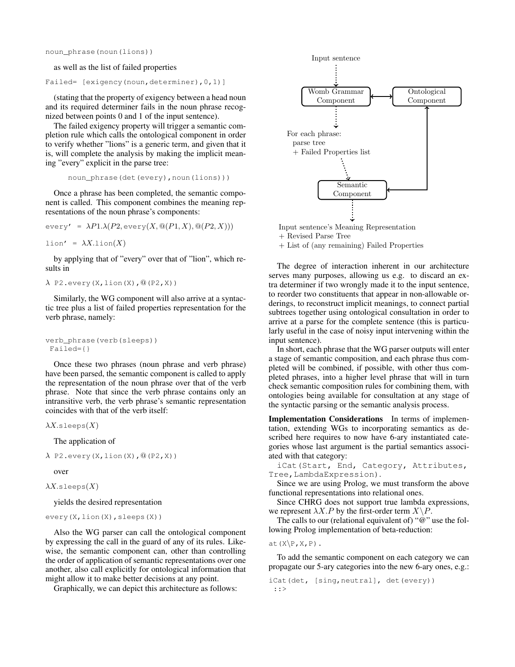noun\_phrase(noun(lions))

as well as the list of failed properties

```
Failed= [exigency(noun, determiner), 0, 1)]
```
(stating that the property of exigency between a head noun and its required determiner fails in the noun phrase recognized between points 0 and 1 of the input sentence).

The failed exigency property will trigger a semantic completion rule which calls the ontological component in order to verify whether "lions" is a generic term, and given that it is, will complete the analysis by making the implicit meaning "every" explicit in the parse tree:

```
noun_phrase(det(every),noun(lions)))
```
Once a phrase has been completed, the semantic component is called. This component combines the meaning representations of the noun phrase's components:

```
every' = \lambda P1.\lambda(P2, every(X, @ (P1, X), @ (P2, X)))
```

```
\text{lion'} = \lambda X. \text{lion}(X)
```
by applying that of "every" over that of "lion", which results in

```
\lambda P2.every(X, lion(X), @(P2,X))
```
Similarly, the WG component will also arrive at a syntactic tree plus a list of failed properties representation for the verb phrase, namely:

```
verb_phrase(verb(sleeps))
 Failed={}
```
Once these two phrases (noun phrase and verb phrase) have been parsed, the semantic component is called to apply the representation of the noun phrase over that of the verb phrase. Note that since the verb phrase contains only an intransitive verb, the verb phrase's semantic representation coincides with that of the verb itself:

 $\lambda X$ .sleeps $(X)$ 

The application of

```
\lambda P2.every(X, lion(X), @(P2, X))
```
over

```
\lambda X.sleeps(X)
```
yields the desired representation

```
every(X, lion(X), sleeps(X))
```
Also the WG parser can call the ontological component by expressing the call in the guard of any of its rules. Likewise, the semantic component can, other than controlling the order of application of semantic representations over one another, also call explicitly for ontological information that might allow it to make better decisions at any point.

Graphically, we can depict this architecture as follows:



+ Revised Parse Tree

+ List of (any remaining) Failed Properties

The degree of interaction inherent in our architecture serves many purposes, allowing us e.g. to discard an extra determiner if two wrongly made it to the input sentence, to reorder two constituents that appear in non-allowable orderings, to reconstruct implicit meanings, to connect partial subtrees together using ontological consultation in order to arrive at a parse for the complete sentence (this is particularly useful in the case of noisy input intervening within the input sentence).

In short, each phrase that the WG parser outputs will enter a stage of semantic composition, and each phrase thus completed will be combined, if possible, with other thus completed phrases, into a higher level phrase that will in turn check semantic composition rules for combining them, with ontologies being available for consultation at any stage of the syntactic parsing or the semantic analysis process.

Implementation Considerations In terms of implementation, extending WGs to incorporating semantics as described here requires to now have 6-ary instantiated categories whose last argument is the partial semantics associated with that category:

iCat(Start, End, Category, Attributes, Tree, LambdaExpression).

Since we are using Prolog, we must transform the above functional representations into relational ones.

Since CHRG does not support true lambda expressions, we represent  $\lambda X.P$  by the first-order term  $X\backslash P$ .

The calls to our (relational equivalent of) "@" use the following Prolog implementation of beta-reduction:

```
at(X\P,K,P).
```
To add the semantic component on each category we can propagate our 5-ary categories into the new 6-ary ones, e.g.:

iCat(det, [sing,neutral], det(every)) ::>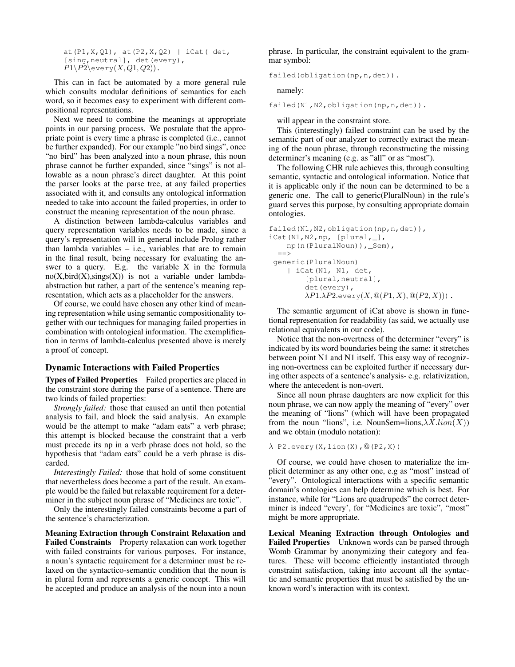$at(P1,X,Q1)$ ,  $at(P2,X,Q2)$  | iCat( det, [sing, neutral], det(every),  $P1\P2\text{every}(X, Q1, Q2)$ .

This can in fact be automated by a more general rule which consults modular definitions of semantics for each word, so it becomes easy to experiment with different compositional representations.

Next we need to combine the meanings at appropriate points in our parsing process. We postulate that the appropriate point is every time a phrase is completed (i.e., cannot be further expanded). For our example "no bird sings", once "no bird" has been analyzed into a noun phrase, this noun phrase cannot be further expanded, since "sings" is not allowable as a noun phrase's direct daughter. At this point the parser looks at the parse tree, at any failed properties associated with it, and consults any ontological information needed to take into account the failed properties, in order to construct the meaning representation of the noun phrase.

A distinction between lambda-calculus variables and query representation variables needs to be made, since a query's representation will in general include Prolog rather than lambda variables – i.e., variables that are to remain in the final result, being necessary for evaluating the answer to a query. E.g. the variable X in the formula  $no(X, bird(X),sing(X))$  is not a variable under lambdaabstraction but rather, a part of the sentence's meaning representation, which acts as a placeholder for the answers.

Of course, we could have chosen any other kind of meaning representation while using semantic compositionality together with our techniques for managing failed properties in combination with ontological information. The exemplification in terms of lambda-calculus presented above is merely a proof of concept.

### Dynamic Interactions with Failed Properties

Types of Failed Properties Failed properties are placed in the constraint store during the parse of a sentence. There are two kinds of failed properties:

*Strongly failed:* those that caused an until then potential analysis to fail, and block the said analysis. An example would be the attempt to make "adam eats" a verb phrase; this attempt is blocked because the constraint that a verb must precede its np in a verb phrase does not hold, so the hypothesis that "adam eats" could be a verb phrase is discarded.

*Interestingly Failed:* those that hold of some constituent that nevertheless does become a part of the result. An example would be the failed but relaxable requirement for a determiner in the subject noun phrase of "Medicines are toxic".

Only the interestingly failed constraints become a part of the sentence's characterization.

Meaning Extraction through Constraint Relaxation and Failed Constraints Property relaxation can work together with failed constraints for various purposes. For instance, a noun's syntactic requirement for a determiner must be relaxed on the syntactico-semantic condition that the noun is in plural form and represents a generic concept. This will be accepted and produce an analysis of the noun into a noun phrase. In particular, the constraint equivalent to the grammar symbol:

failed(obligation(np, n, det)).

namely:

failed(N1, N2, obligation(np, n, det)).

will appear in the constraint store.

This (interestingly) failed constraint can be used by the semantic part of our analyzer to correctly extract the meaning of the noun phrase, through reconstructing the missing determiner's meaning (e.g. as "all" or as "most").

The following CHR rule achieves this, through consulting semantic, syntactic and ontological information. Notice that it is applicable only if the noun can be determined to be a generic one. The call to generic(PluralNoun) in the rule's guard serves this purpose, by consulting appropriate domain ontologies.

```
failed(N1, N2, obligation(np, n, det)),
iCat(N1,N2,np, [plural,_],
    np(n(PluralNoun)),_Sem),
  =generic(PluralNoun)
     | iCat(N1, N1, det,
          [plural, neutral],
          det(every),
          \lambda P1.\lambda P2.\text{every}(X, \mathbb{Q}(P1, X), \mathbb{Q}(P2, X))).
```
The semantic argument of iCat above is shown in functional representation for readability (as said, we actually use relational equivalents in our code).

Notice that the non-overtness of the determiner "every" is indicated by its word boundaries being the same: it stretches between point N1 and N1 itself. This easy way of recognizing non-overtness can be exploited further if necessary during other aspects of a sentence's analysis- e.g. relativization, where the antecedent is non-overt.

Since all noun phrase daughters are now explicit for this noun phrase, we can now apply the meaning of "every" over the meaning of "lions" (which will have been propagated from the noun "lions", i.e. NounSem=lions, $\lambda X.$ lion(X)) and we obtain (modulo notation):

 $\lambda$  P2.every(X, lion(X),  $@$ (P2, X))

Of course, we could have chosen to materialize the implicit determiner as any other one, e.g as "most" instead of "every". Ontological interactions with a specific semantic domain's ontologies can help determine which is best. For instance, while for "Lions are quadrupeds" the correct determiner is indeed "every', for "Medicines are toxic", "most" might be more appropriate.

Lexical Meaning Extraction through Ontologies and Failed Properties Unknown words can be parsed through Womb Grammar by anonymizing their category and features. These will become efficiently instantiated through constraint satisfaction, taking into account all the syntactic and semantic properties that must be satisfied by the unknown word's interaction with its context.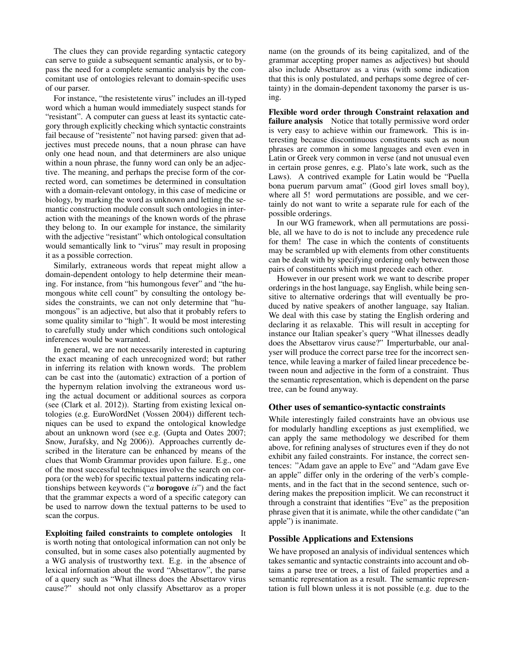The clues they can provide regarding syntactic category can serve to guide a subsequent semantic analysis, or to bypass the need for a complete semantic analysis by the concomitant use of ontologies relevant to domain-specific uses of our parser.

For instance, "the resistetente virus" includes an ill-typed word which a human would immediately suspect stands for "resistant". A computer can guess at least its syntactic category through explicitly checking which syntactic constraints fail because of "resistente" not having parsed: given that adjectives must precede nouns, that a noun phrase can have only one head noun, and that determiners are also unique within a noun phrase, the funny word can only be an adjective. The meaning, and perhaps the precise form of the corrected word, can sometimes be determined in consultation with a domain-relevant ontology, in this case of medicine or biology, by marking the word as unknown and letting the semantic construction module consult such ontologies in interaction with the meanings of the known words of the phrase they belong to. In our example for instance, the similarity with the adjective "resistant" which ontological consultation would semantically link to "virus" may result in proposing it as a possible correction.

Similarly, extraneous words that repeat might allow a domain-dependent ontology to help determine their meaning. For instance, from "his humongous fever" and "the humongous white cell count" by consulting the ontology besides the constraints, we can not only determine that "humongous" is an adjective, but also that it probably refers to some quality similar to "high". It would be most interesting to carefully study under which conditions such ontological inferences would be warranted.

In general, we are not necessarily interested in capturing the exact meaning of each unrecognized word; but rather in inferring its relation with known words. The problem can be cast into the (automatic) extraction of a portion of the hypernym relation involving the extraneous word using the actual document or additional sources as corpora (see (Clark et al. 2012)). Starting from existing lexical ontologies (e.g. EuroWordNet (Vossen 2004)) different techniques can be used to expand the ontological knowledge about an unknown word (see e.g. (Gupta and Oates 2007; Snow, Jurafsky, and Ng 2006)). Approaches currently described in the literature can be enhanced by means of the clues that Womb Grammar provides upon failure. E.g., one of the most successful techniques involve the search on corpora (or the web) for specific textual patterns indicating relationships between keywords ("*a* borogove *is*") and the fact that the grammar expects a word of a specific category can be used to narrow down the textual patterns to be used to scan the corpus.

Exploiting failed constraints to complete ontologies It is worth noting that ontological information can not only be consulted, but in some cases also potentially augmented by a WG analysis of trustworthy text. E.g. in the absence of lexical information about the word "Absettarov", the parse of a query such as "What illness does the Absettarov virus cause?" should not only classify Absettarov as a proper

name (on the grounds of its being capitalized, and of the grammar accepting proper names as adjectives) but should also include Absettarov as a virus (with some indication that this is only postulated, and perhaps some degree of certainty) in the domain-dependent taxonomy the parser is using.

Flexible word order through Constraint relaxation and failure analysis Notice that totally permissive word order is very easy to achieve within our framework. This is interesting because discontinuous constituents such as noun phrases are common in some languages and even even in Latin or Greek very common in verse (and not unusual even in certain prose genres, e.g. Plato's late work, such as the Laws). A contrived example for Latin would be "Puella bona puerum parvum amat" (Good girl loves small boy), where all 5! word permutations are possible, and we certainly do not want to write a separate rule for each of the possible orderings.

In our WG framework, when all permutations are possible, all we have to do is not to include any precedence rule for them! The case in which the contents of constituents may be scrambled up with elements from other constituents can be dealt with by specifying ordering only between those pairs of constituents which must precede each other.

However in our present work we want to describe proper orderings in the host language, say English, while being sensitive to alternative orderings that will eventually be produced by native speakers of another language, say Italian. We deal with this case by stating the English ordering and declaring it as relaxable. This will result in accepting for instance our Italian speaker's query "What illnesses deadly does the Absettarov virus cause?" Imperturbable, our analyser will produce the correct parse tree for the incorrect sentence, while leaving a marker of failed linear precedence between noun and adjective in the form of a constraint. Thus the semantic representation, which is dependent on the parse tree, can be found anyway.

## Other uses of semantico-syntactic constraints

While interestingly failed constraints have an obvious use for modularly handling exceptions as just exemplified, we can apply the same methodology we described for them above, for refining analyses of structures even if they do not exhibit any failed constraints. For instance, the correct sentences: "Adam gave an apple to Eve" and "Adam gave Eve an apple" differ only in the ordering of the verb's complements, and in the fact that in the second sentence, such ordering makes the preposition implicit. We can reconstruct it through a constraint that identifies "Eve" as the preposition phrase given that it is animate, while the other candidate ("an apple") is inanimate.

## Possible Applications and Extensions

We have proposed an analysis of individual sentences which takes semantic and syntactic constraints into account and obtains a parse tree or trees, a list of failed properties and a semantic representation as a result. The semantic representation is full blown unless it is not possible (e.g. due to the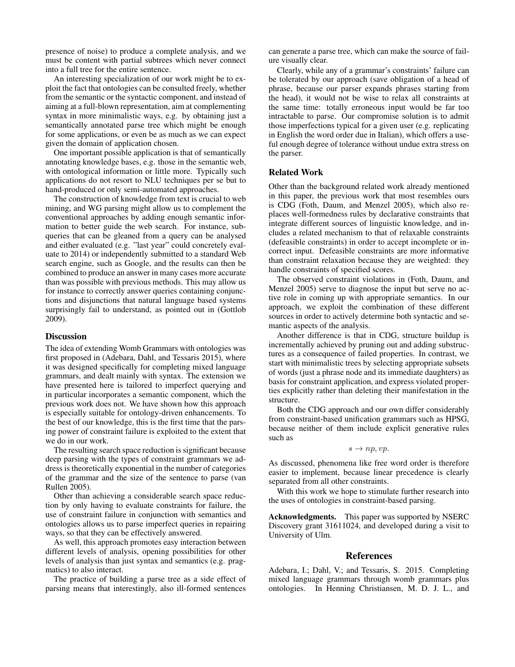presence of noise) to produce a complete analysis, and we must be content with partial subtrees which never connect into a full tree for the entire sentence.

An interesting specialization of our work might be to exploit the fact that ontologies can be consulted freely, whether from the semantic or the syntactic component, and instead of aiming at a full-blown representation, aim at complementing syntax in more minimalistic ways, e.g. by obtaining just a semantically annotated parse tree which might be enough for some applications, or even be as much as we can expect given the domain of application chosen.

One important possible application is that of semantically annotating knowledge bases, e.g. those in the semantic web, with ontological information or little more. Typically such applications do not resort to NLU techniques per se but to hand-produced or only semi-automated approaches.

The construction of knowledge from text is crucial to web mining, and WG parsing might allow us to complement the conventional approaches by adding enough semantic information to better guide the web search. For instance, subqueries that can be gleaned from a query can be analysed and either evaluated (e.g. "last year" could concretely evaluate to 2014) or independently submitted to a standard Web search engine, such as Google, and the results can then be combined to produce an answer in many cases more accurate than was possible with previous methods. This may allow us for instance to correctly answer queries containing conjunctions and disjunctions that natural language based systems surprisingly fail to understand, as pointed out in (Gottlob 2009).

#### **Discussion**

The idea of extending Womb Grammars with ontologies was first proposed in (Adebara, Dahl, and Tessaris 2015), where it was designed specifically for completing mixed language grammars, and dealt mainly with syntax. The extension we have presented here is tailored to imperfect querying and in particular incorporates a semantic component, which the previous work does not. We have shown how this approach is especially suitable for ontology-driven enhancements. To the best of our knowledge, this is the first time that the parsing power of constraint failure is exploited to the extent that we do in our work.

The resulting search space reduction is significant because deep parsing with the types of constraint grammars we address is theoretically exponential in the number of categories of the grammar and the size of the sentence to parse (van Rullen 2005).

Other than achieving a considerable search space reduction by only having to evaluate constraints for failure, the use of constraint failure in conjunction with semantics and ontologies allows us to parse imperfect queries in repairing ways, so that they can be effectively answered.

As well, this approach promotes easy interaction between different levels of analysis, opening possibilities for other levels of analysis than just syntax and semantics (e.g. pragmatics) to also interact.

The practice of building a parse tree as a side effect of parsing means that interestingly, also ill-formed sentences can generate a parse tree, which can make the source of failure visually clear.

Clearly, while any of a grammar's constraints' failure can be tolerated by our approach (save obligation of a head of phrase, because our parser expands phrases starting from the head), it would not be wise to relax all constraints at the same time: totally erroneous input would be far too intractable to parse. Our compromise solution is to admit those imperfections typical for a given user (e.g. replicating in English the word order due in Italian), which offers a useful enough degree of tolerance without undue extra stress on the parser.

#### Related Work

Other than the background related work already mentioned in this paper, the previous work that most resembles ours is CDG (Foth, Daum, and Menzel 2005), which also replaces well-formedness rules by declarative constraints that integrate different sources of linguistic knowledge, and includes a related mechanism to that of relaxable constraints (defeasible constraints) in order to accept incomplete or incorrect input. Defeasible constraints are more informative than constraint relaxation because they are weighted: they handle constraints of specified scores.

The observed constraint violations in (Foth, Daum, and Menzel 2005) serve to diagnose the input but serve no active role in coming up with appropriate semantics. In our approach, we exploit the combination of these different sources in order to actively determine both syntactic and semantic aspects of the analysis.

Another difference is that in CDG, structure buildup is incrementally achieved by pruning out and adding substructures as a consequence of failed properties. In contrast, we start with minimalistic trees by selecting appropriate subsets of words (just a phrase node and its immediate daughters) as basis for constraint application, and express violated properties explicitly rather than deleting their manifestation in the structure.

Both the CDG approach and our own differ considerably from constraint-based unification grammars such as HPSG, because neither of them include explicit generative rules such as

#### $s \rightarrow np, vp.$

As discussed, phenomena like free word order is therefore easier to implement, because linear precedence is clearly separated from all other constraints.

With this work we hope to stimulate further research into the uses of ontologies in constraint-based parsing.

Acknowledgments. This paper was supported by NSERC Discovery grant 31611024, and developed during a visit to University of Ulm.

### References

Adebara, I.; Dahl, V.; and Tessaris, S. 2015. Completing mixed language grammars through womb grammars plus ontologies. In Henning Christiansen, M. D. J. L., and